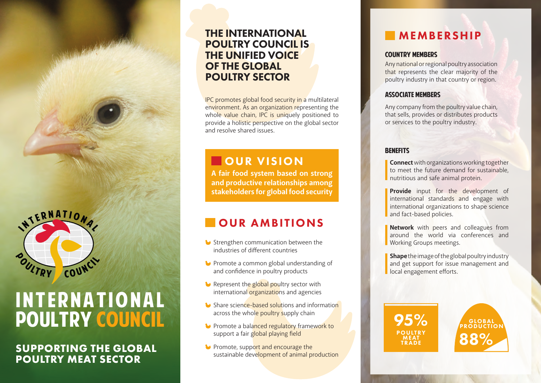### THE INTERNATIONAL POULTRY COUNCIL IS THE UNIFIED VOICE OF THE GLOBAL POULTRY SECTOR

IPC promotes global food security in a multilateral environment. As an organization representing the whole value chain, IPC is uniquely positioned to provide a holistic perspective on the global sector and resolve shared issues.

## **OUR VISION**

**A fair food system based on strong and productive relationships among stakeholders for global food security**

# **COUR AMBITIONS**

- $\bigcup$  Strengthen communication between the industries of different countries
- **Promote a common global understanding of** and confidence in poultry products
- $\bullet$  Represent the global poultry sector with international organizations and agencies
- **U** Share science-based solutions and information across the whole poultry supply chain
- **Promote a balanced regulatory framework to** support a fair global playing field
- **Promote, support and encourage the** sustainable development of animal production

# MEMBERSHIP

#### COUNTRY MEMBERS

Any national or regional poultry association that represents the clear majority of the poultry industry in that country or region.

#### ASSOCIATE MEMBERS

Any company from the poultry value chain, that sells, provides or distributes products or services to the poultry industry.

#### **BENEFITS**

**Connect** with organizations working together to meet the future demand for sustainable, nutritious and safe animal protein.

**Provide** input for the development of international standards and engage with international organizations to shape science and fact-based policies.

**Network** with peers and colleagues from around the world via conferences and Working Groups meetings.

**Shape** the image of the global poultry industry and get support for issue management and local engagement efforts.

POULTRY MEAT TRADE 95%





# INTERNATIONAL POULTRY COUNCIL

**SUPPORTING THE GLOBAL POULTRY MEAT SECTOR**